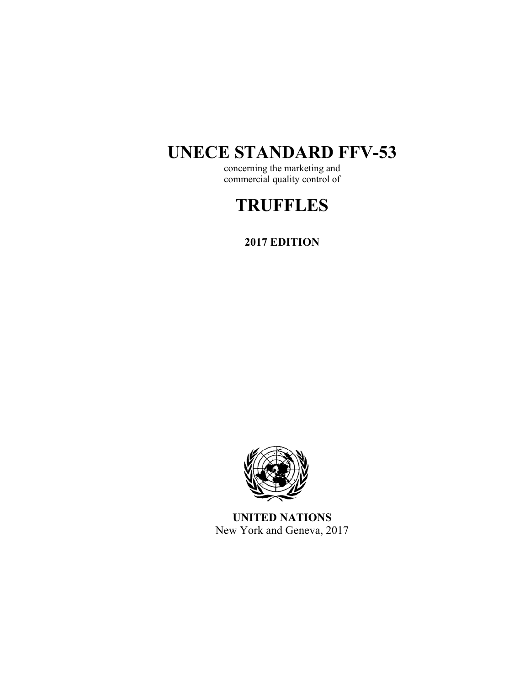# **UNECE STANDARD FFV-53**

concerning the marketing and commercial quality control of

# **TRUFFLES**

**2017 EDITION** 



**UNITED NATIONS**  New York and Geneva, 2017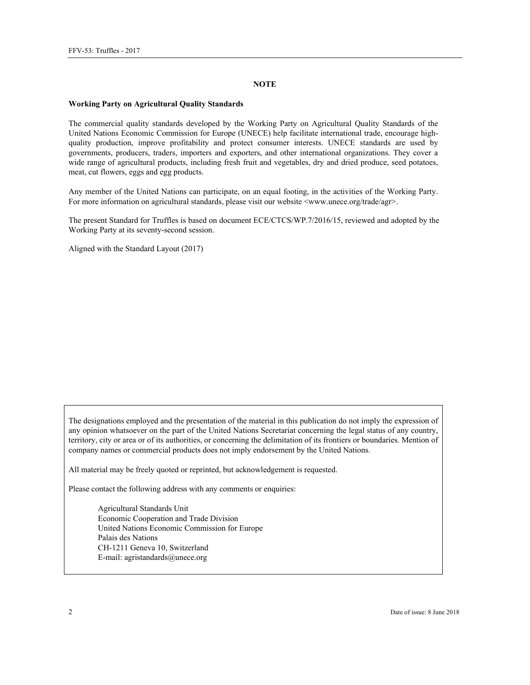#### **NOTE**

#### **Working Party on Agricultural Quality Standards**

The commercial quality standards developed by the Working Party on Agricultural Quality Standards of the United Nations Economic Commission for Europe (UNECE) help facilitate international trade, encourage highquality production, improve profitability and protect consumer interests. UNECE standards are used by governments, producers, traders, importers and exporters, and other international organizations. They cover a wide range of agricultural products, including fresh fruit and vegetables, dry and dried produce, seed potatoes, meat, cut flowers, eggs and egg products.

Any member of the United Nations can participate, on an equal footing, in the activities of the Working Party. For more information on agricultural standards, please visit our website <www.unece.org/trade/agr>.

The present Standard for Truffles is based on document ECE/CTCS/WP.7/2016/15, reviewed and adopted by the Working Party at its seventy-second session.

Aligned with the Standard Layout (2017)

The designations employed and the presentation of the material in this publication do not imply the expression of any opinion whatsoever on the part of the United Nations Secretariat concerning the legal status of any country, territory, city or area or of its authorities, or concerning the delimitation of its frontiers or boundaries. Mention of company names or commercial products does not imply endorsement by the United Nations.

All material may be freely quoted or reprinted, but acknowledgement is requested.

Please contact the following address with any comments or enquiries:

Agricultural Standards Unit Economic Cooperation and Trade Division United Nations Economic Commission for Europe Palais des Nations CH-1211 Geneva 10, Switzerland E-mail: agristandards@unece.org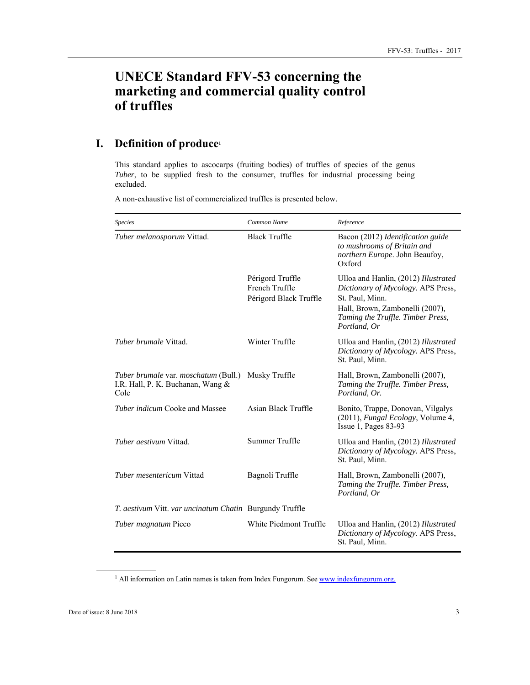# **UNECE Standard FFV-53 concerning the marketing and commercial quality control of truffles**

# **I. Definition of produce1**

This standard applies to ascocarps (fruiting bodies) of truffles of species of the genus *Tuber*, to be supplied fresh to the consumer, truffles for industrial processing being excluded.

A non-exhaustive list of commercialized truffles is presented below.

| <b>Species</b>                                                                    | Common Name                                                  | Reference                                                                                                                                                                             |
|-----------------------------------------------------------------------------------|--------------------------------------------------------------|---------------------------------------------------------------------------------------------------------------------------------------------------------------------------------------|
| Tuber melanosporum Vittad.                                                        | <b>Black Truffle</b>                                         | Bacon (2012) Identification guide<br>to mushrooms of Britain and<br>northern Europe. John Beaufoy,<br>Oxford                                                                          |
|                                                                                   | Périgord Truffle<br>French Truffle<br>Périgord Black Truffle | Ulloa and Hanlin, (2012) Illustrated<br>Dictionary of Mycology. APS Press,<br>St. Paul, Minn.<br>Hall, Brown, Zambonelli (2007),<br>Taming the Truffle. Timber Press,<br>Portland, Or |
| <i>Tuber brumale</i> Vittad.                                                      | Winter Truffle                                               | Ulloa and Hanlin, (2012) Illustrated<br>Dictionary of Mycology. APS Press,<br>St. Paul, Minn.                                                                                         |
| Tuber brumale var. moschatum (Bull.)<br>I.R. Hall, P. K. Buchanan, Wang &<br>Cole | Musky Truffle                                                | Hall, Brown, Zambonelli (2007),<br>Taming the Truffle. Timber Press,<br>Portland, Or.                                                                                                 |
| <i>Tuber indicum</i> Cooke and Massee                                             | Asian Black Truffle                                          | Bonito, Trappe, Donovan, Vilgalys<br>(2011), <i>Fungal Ecology</i> , Volume 4,<br>Issue $1$ , Pages 83-93                                                                             |
| <i>Tuber aestivum</i> Vittad.                                                     | Summer Truffle                                               | Ulloa and Hanlin, (2012) Illustrated<br>Dictionary of Mycology. APS Press,<br>St. Paul, Minn.                                                                                         |
| <i>Tuber mesentericum</i> Vittad                                                  | Bagnoli Truffle                                              | Hall, Brown, Zambonelli (2007),<br>Taming the Truffle. Timber Press,<br>Portland, Or                                                                                                  |
| <i>T. aestivum</i> Vitt. <i>var uncinatum Chatin</i> Burgundy Truffle             |                                                              |                                                                                                                                                                                       |
| Tuber magnatum Picco                                                              | White Piedmont Truffle                                       | Ulloa and Hanlin, (2012) Illustrated<br>Dictionary of Mycology. APS Press,<br>St. Paul, Minn.                                                                                         |

<sup>1</sup> All information on Latin names is taken from Index Fungorum. See www.indexfungorum.org.

 $\overline{a}$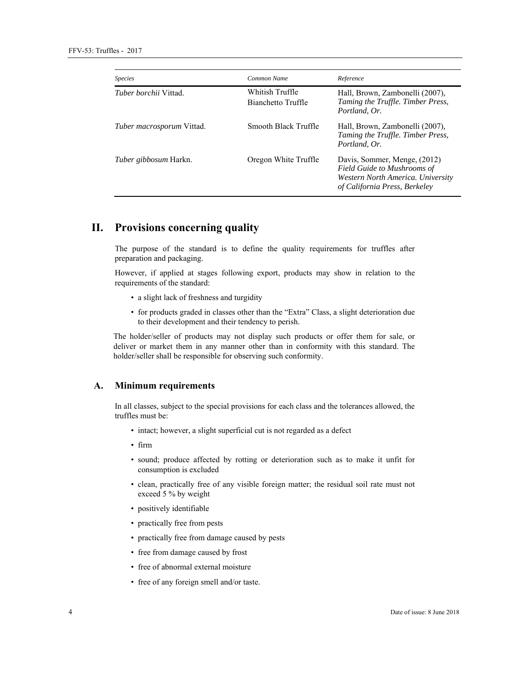| <b>Species</b>                   | Common Name                           | Reference                                                                                                                         |
|----------------------------------|---------------------------------------|-----------------------------------------------------------------------------------------------------------------------------------|
| <i>Tuber borchii</i> Vittad.     | Whitish Truffle<br>Bianchetto Truffle | Hall, Brown, Zambonelli (2007),<br>Taming the Truffle. Timber Press,<br>Portland, Or.                                             |
| <i>Tuber macrosporum</i> Vittad. | Smooth Black Truffle                  | Hall, Brown, Zambonelli (2007),<br>Taming the Truffle. Timber Press,<br>Portland, Or.                                             |
| <i>Tuber gibbosum</i> Harkn.     | Oregon White Truffle                  | Davis, Sommer, Menge, (2012)<br>Field Guide to Mushrooms of<br>Western North America. University<br>of California Press, Berkeley |

# **II. Provisions concerning quality**

The purpose of the standard is to define the quality requirements for truffles after preparation and packaging.

However, if applied at stages following export, products may show in relation to the requirements of the standard:

- a slight lack of freshness and turgidity
- for products graded in classes other than the "Extra" Class, a slight deterioration due to their development and their tendency to perish.

The holder/seller of products may not display such products or offer them for sale, or deliver or market them in any manner other than in conformity with this standard. The holder/seller shall be responsible for observing such conformity.

#### **A. Minimum requirements**

In all classes, subject to the special provisions for each class and the tolerances allowed, the truffles must be:

- intact; however, a slight superficial cut is not regarded as a defect
- firm
- sound; produce affected by rotting or deterioration such as to make it unfit for consumption is excluded
- clean, practically free of any visible foreign matter; the residual soil rate must not exceed 5 % by weight
- positively identifiable
- practically free from pests
- practically free from damage caused by pests
- free from damage caused by frost
- free of abnormal external moisture
- free of any foreign smell and/or taste.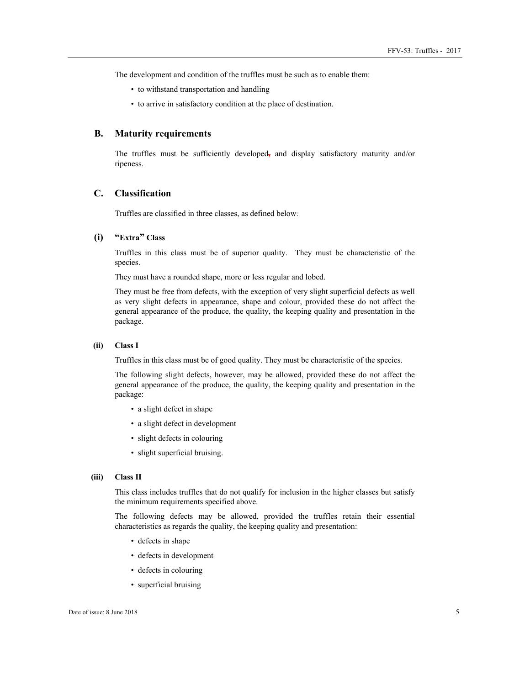The development and condition of the truffles must be such as to enable them:

- to withstand transportation and handling
- to arrive in satisfactory condition at the place of destination.

#### **B. Maturity requirements**

The truffles must be sufficiently developed**,** and display satisfactory maturity and/or ripeness.

#### **C. Classification**

Truffles are classified in three classes, as defined below:

#### **(i) "Extra" Class**

Truffles in this class must be of superior quality. They must be characteristic of the species.

They must have a rounded shape, more or less regular and lobed.

They must be free from defects, with the exception of very slight superficial defects as well as very slight defects in appearance, shape and colour, provided these do not affect the general appearance of the produce, the quality, the keeping quality and presentation in the package.

#### **(ii) Class I**

Truffles in this class must be of good quality. They must be characteristic of the species.

The following slight defects, however, may be allowed, provided these do not affect the general appearance of the produce, the quality, the keeping quality and presentation in the package:

- a slight defect in shape
- a slight defect in development
- slight defects in colouring
- slight superficial bruising.

#### **(iii) Class II**

This class includes truffles that do not qualify for inclusion in the higher classes but satisfy the minimum requirements specified above.

The following defects may be allowed, provided the truffles retain their essential characteristics as regards the quality, the keeping quality and presentation:

- defects in shape
- defects in development
- defects in colouring
- superficial bruising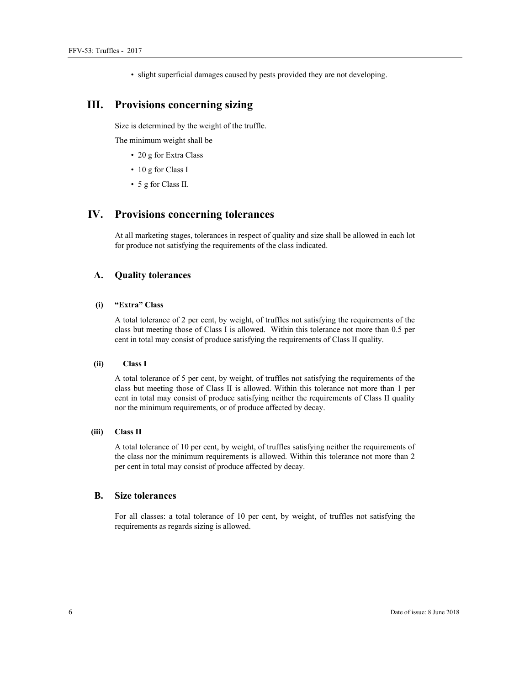• slight superficial damages caused by pests provided they are not developing.

## **III. Provisions concerning sizing**

Size is determined by the weight of the truffle.

The minimum weight shall be

- 20 g for Extra Class
- 10 g for Class I
- 5 g for Class II.

# **IV. Provisions concerning tolerances**

At all marketing stages, tolerances in respect of quality and size shall be allowed in each lot for produce not satisfying the requirements of the class indicated.

#### **A. Quality tolerances**

#### **(i) "Extra" Class**

A total tolerance of 2 per cent, by weight, of truffles not satisfying the requirements of the class but meeting those of Class I is allowed. Within this tolerance not more than 0.5 per cent in total may consist of produce satisfying the requirements of Class II quality.

#### **(ii) Class I**

A total tolerance of 5 per cent, by weight, of truffles not satisfying the requirements of the class but meeting those of Class II is allowed. Within this tolerance not more than 1 per cent in total may consist of produce satisfying neither the requirements of Class II quality nor the minimum requirements, or of produce affected by decay.

#### **(iii) Class II**

A total tolerance of 10 per cent, by weight, of truffles satisfying neither the requirements of the class nor the minimum requirements is allowed. Within this tolerance not more than 2 per cent in total may consist of produce affected by decay.

#### **B. Size tolerances**

For all classes: a total tolerance of 10 per cent, by weight, of truffles not satisfying the requirements as regards sizing is allowed.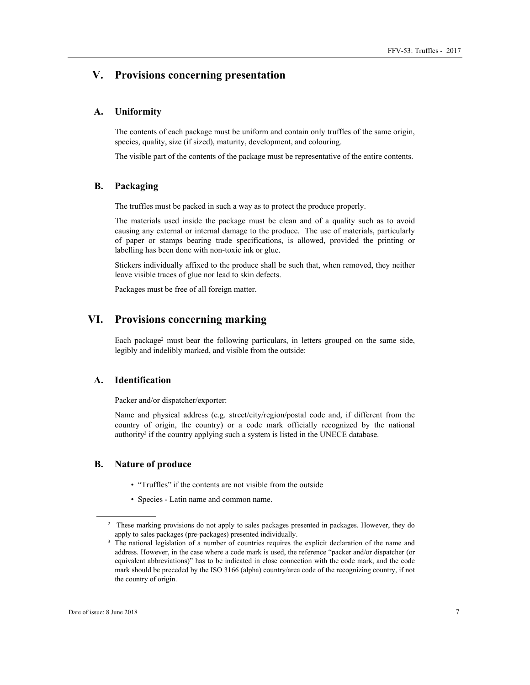## **V. Provisions concerning presentation**

#### **A. Uniformity**

The contents of each package must be uniform and contain only truffles of the same origin, species, quality, size (if sized), maturity, development, and colouring.

The visible part of the contents of the package must be representative of the entire contents.

#### **B. Packaging**

The truffles must be packed in such a way as to protect the produce properly.

The materials used inside the package must be clean and of a quality such as to avoid causing any external or internal damage to the produce. The use of materials, particularly of paper or stamps bearing trade specifications, is allowed, provided the printing or labelling has been done with non-toxic ink or glue.

Stickers individually affixed to the produce shall be such that, when removed, they neither leave visible traces of glue nor lead to skin defects.

Packages must be free of all foreign matter.

### **VI. Provisions concerning marking**

Each package<sup>2</sup> must bear the following particulars, in letters grouped on the same side, legibly and indelibly marked, and visible from the outside:

### **A. Identification**

Packer and/or dispatcher/exporter:

Name and physical address (e.g. street/city/region/postal code and, if different from the country of origin, the country) or a code mark officially recognized by the national authority<sup>3</sup> if the country applying such a system is listed in the UNECE database.

#### **B. Nature of produce**

- "Truffles" if the contents are not visible from the outside
- Species Latin name and common name.

 $\overline{a}$ 

<sup>&</sup>lt;sup>2</sup> These marking provisions do not apply to sales packages presented in packages. However, they do apply to sales packages (pre-packages) presented individually.<br><sup>3</sup> The national legislation of a number of countries requires the explicit declaration of the name and

address. However, in the case where a code mark is used, the reference "packer and/or dispatcher (or equivalent abbreviations)" has to be indicated in close connection with the code mark, and the code mark should be preceded by the ISO 3166 (alpha) country/area code of the recognizing country, if not the country of origin.